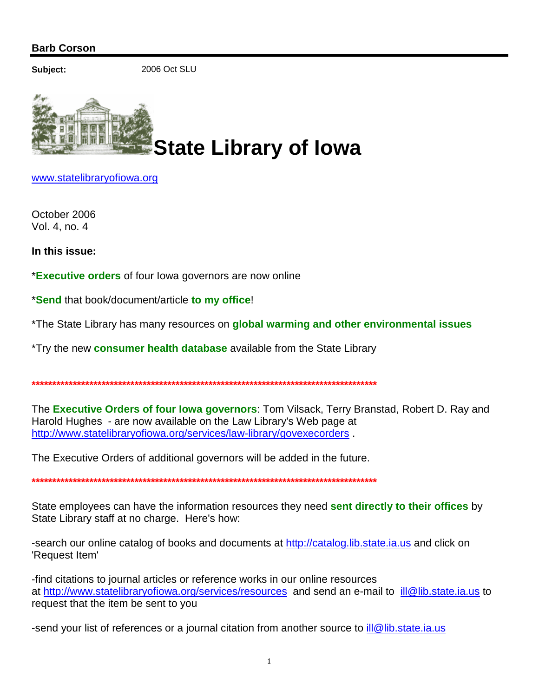## **Barb Corson**

Subject:

2006 Oct SLU



www.statelibraryofiowa.org

October 2006 Vol. 4, no. 4

In this issue:

\*Executive orders of four lowa governors are now online

\*Send that book/document/article to my office!

\*The State Library has many resources on global warming and other environmental issues

\*Try the new **consumer health database** available from the State Library

The Executive Orders of four lowa governors: Tom Vilsack, Terry Branstad, Robert D. Ray and Harold Hughes - are now available on the Law Library's Web page at http://www.statelibraryofiowa.org/services/law-library/govexecorders.

The Executive Orders of additional governors will be added in the future.

State employees can have the information resources they need sent directly to their offices by State Library staff at no charge. Here's how:

-search our online catalog of books and documents at http://catalog.lib.state.ia.us and click on 'Request Item'

-find citations to journal articles or reference works in our online resources at http://www.statelibraryofiowa.org/services/resources and send an e-mail to ill@lib.state.ia.us to request that the item be sent to you

send your list of references or a journal citation from another source to *ill@lib.state.ia.us*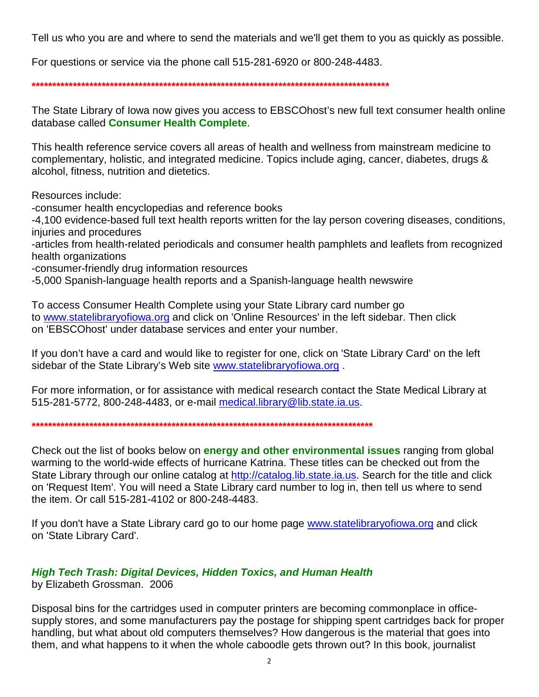Tell us who you are and where to send the materials and we'll get them to you as quickly as possible.

For questions or service via the phone call 515-281-6920 or 800-248-4483.

The State Library of lowa now gives you access to EBSCOhost's new full text consumer health online database called Consumer Health Complete.

This health reference service covers all areas of health and wellness from mainstream medicine to complementary, holistic, and integrated medicine. Topics include aging, cancer, diabetes, drugs & alcohol, fitness, nutrition and dietetics.

Resources include:

-consumer health encyclopedias and reference books

-4,100 evidence-based full text health reports written for the lay person covering diseases, conditions, injuries and procedures

-articles from health-related periodicals and consumer health pamphlets and leaflets from recognized health organizations

-consumer-friendly drug information resources

-5,000 Spanish-language health reports and a Spanish-language health newswire

To access Consumer Health Complete using your State Library card number go to www.statelibraryofiowa.org and click on 'Online Resources' in the left sidebar. Then click on 'EBSCOhost' under database services and enter your number.

If you don't have a card and would like to register for one, click on 'State Library Card' on the left sidebar of the State Library's Web site www.statelibraryofiowa.org.

For more information, or for assistance with medical research contact the State Medical Library at 515-281-5772, 800-248-4483, or e-mail medical.library@lib.state.ia.us.

Check out the list of books below on **energy and other environmental issues** ranging from global warming to the world-wide effects of hurricane Katrina. These titles can be checked out from the State Library through our online catalog at http://catalog.lib.state.ia.us. Search for the title and click on 'Request Item'. You will need a State Library card number to log in, then tell us where to send the item. Or call 515-281-4102 or 800-248-4483.

If you don't have a State Library card go to our home page www.statelibraryofiowa.org and click on 'State Library Card'.

#### **High Tech Trash: Digital Devices, Hidden Toxics, and Human Health** by Elizabeth Grossman. 2006

Disposal bins for the cartridges used in computer printers are becoming commonplace in officesupply stores, and some manufacturers pay the postage for shipping spent cartridges back for proper handling, but what about old computers themselves? How dangerous is the material that goes into them, and what happens to it when the whole caboodle gets thrown out? In this book, journalist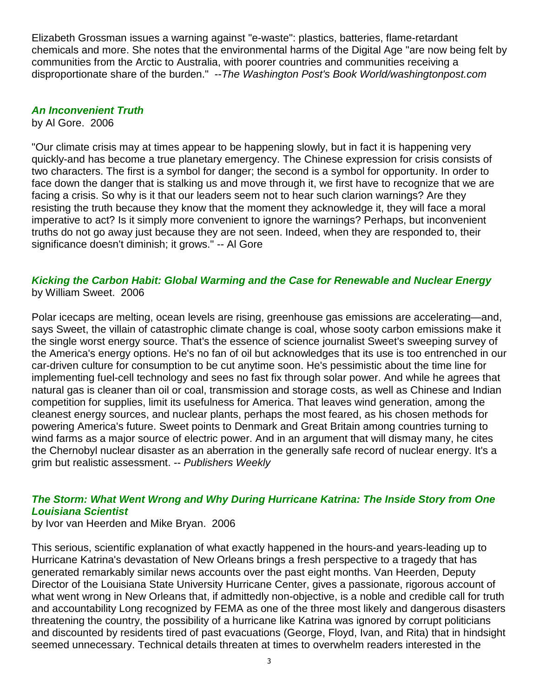Elizabeth Grossman issues a warning against "e-waste": plastics, batteries, flame-retardant chemicals and more. She notes that the environmental harms of the Digital Age "are now being felt by communities from the Arctic to Australia, with poorer countries and communities receiving a disproportionate share of the burden." -- The Washington Post's Book World/washingtonpost.com

## **An Inconvenient Truth**

by Al Gore. 2006

"Our climate crisis may at times appear to be happening slowly, but in fact it is happening very quickly-and has become a true planetary emergency. The Chinese expression for crisis consists of two characters. The first is a symbol for danger; the second is a symbol for opportunity. In order to face down the danger that is stalking us and move through it, we first have to recognize that we are facing a crisis. So why is it that our leaders seem not to hear such clarion warnings? Are they resisting the truth because they know that the moment they acknowledge it, they will face a moral imperative to act? Is it simply more convenient to ignore the warnings? Perhaps, but inconvenient truths do not go away just because they are not seen. Indeed, when they are responded to, their significance doesn't diminish; it grows." -- Al Gore

### **Kicking the Carbon Habit: Global Warming and the Case for Renewable and Nuclear Energy** by William Sweet. 2006

Polar icecaps are melting, ocean levels are rising, greenhouse gas emissions are accelerating—and, says Sweet, the villain of catastrophic climate change is coal, whose sooty carbon emissions make it the single worst energy source. That's the essence of science journalist Sweet's sweeping survey of the America's energy options. He's no fan of oil but acknowledges that its use is too entrenched in our car-driven culture for consumption to be cut anytime soon. He's pessimistic about the time line for implementing fuel-cell technology and sees no fast fix through solar power. And while he agrees that natural gas is cleaner than oil or coal, transmission and storage costs, as well as Chinese and Indian competition for supplies, limit its usefulness for America. That leaves wind generation, among the cleanest energy sources, and nuclear plants, perhaps the most feared, as his chosen methods for powering America's future. Sweet points to Denmark and Great Britain among countries turning to wind farms as a major source of electric power. And in an argument that will dismay many, he cites the Chernobyl nuclear disaster as an aberration in the generally safe record of nuclear energy. It's a grim but realistic assessment. -- Publishers Weekly

# **The Storm: What Went Wrong and Why During Hurricane Katrina: The Inside Story from One Louisiana Scientist**

by Ivor van Heerden and Mike Bryan. 2006

This serious, scientific explanation of what exactly happened in the hours-and years-leading up to Hurricane Katrina's devastation of New Orleans brings a fresh perspective to a tragedy that has generated remarkably similar news accounts over the past eight months. Van Heerden, Deputy Director of the Louisiana State University Hurricane Center, gives a passionate, rigorous account of what went wrong in New Orleans that, if admittedly non-objective, is a noble and credible call for truth and accountability Long recognized by FEMA as one of the three most likely and dangerous disasters threatening the country, the possibility of a hurricane like Katrina was ignored by corrupt politicians and discounted by residents tired of past evacuations (George, Floyd, Ivan, and Rita) that in hindsight seemed unnecessary. Technical details threaten at times to overwhelm readers interested in the